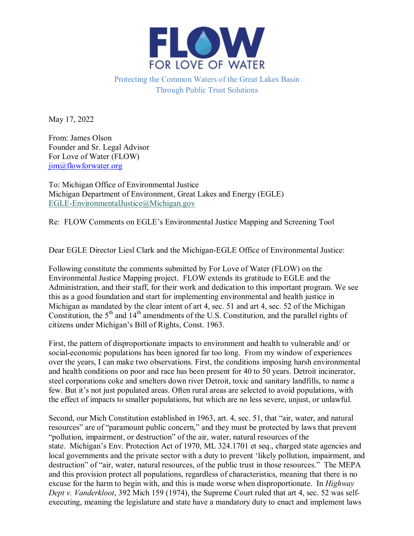

Protecting the Common Waters of the Great Lakes Basin Through Public Trust Solutions

May 17, 2022

From: James Olson Founder and Sr. Legal Advisor For Love of Water (FLOW) [jim@flowforwater.org](mailto:jim@flowforwater.org)

To: Michigan Office of Environmental Justice Michigan Department of Environment, Great Lakes and Energy (EGLE) [EGLE-EnvironmentalJustice@Michigan.gov](mailto:EGLE-EnvironmentalJustice@Michigan.gov)

Re: FLOW Comments on EGLE's Environmental Justice Mapping and Screening Tool

Dear EGLE Director Liesl Clark and the Michigan-EGLE Office of Environmental Justice:

Following constitute the comments submitted by For Love of Water (FLOW) on the Environmental Justice Mapping project. FLOW extends its gratitude to EGLE and the Administration, and their staff, for their work and dedication to this important program. We see this as a good foundation and start for implementing environmental and health justice in Michigan as mandated by the clear intent of art 4, sec. 51 and art 4, sec. 52 of the Michigan Constitution, the  $5<sup>th</sup>$  and  $14<sup>th</sup>$  amendments of the U.S. Constitution, and the parallel rights of citizens under Michigan's Bill of Rights, Const. 1963.

First, the pattern of disproportionate impacts to environment and health to vulnerable and/ or social-economic populations has been ignored far too long. From my window of experiences over the years, I can make two observations. First, the conditions imposing harsh environmental and health conditions on poor and race has been present for 40 to 50 years. Detroit incinerator, steel corporations coke and smelters down river Detroit, toxic and sanitary landfills, to name a few. But it's not just populated areas. Often rural areas are selected to avoid populations, with the effect of impacts to smaller populations, but which are no less severe, unjust, or unlawful.

Second, our Mich Constitution established in 1963, art. 4, sec. 51, that "air, water, and natural resources" are of "paramount public concern," and they must be protected by laws that prevent "pollution, impairment, or destruction" of the air, water, natural resources of the state. Michigan's Env. Protection Act of 1970, ML 324.1701 et seq., charged state agencies and local governments and the private sector with a duty to prevent 'likely pollution, impairment, and destruction" of "air, water, natural resources, of the public trust in those resources." The MEPA and this provision protect all populations, regardless of characteristics, meaning that there is no excuse for the harm to begin with, and this is made worse when disproportionate. In *Highway Dept v. Vanderkloot*, 392 Mich 159 (1974), the Supreme Court ruled that art 4, sec. 52 was selfexecuting, meaning the legislature and state have a mandatory duty to enact and implement laws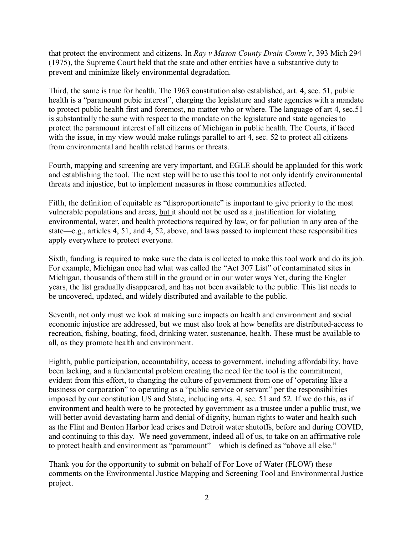that protect the environment and citizens. In *Ray v Mason County Drain Comm'r*, 393 Mich 294 (1975), the Supreme Court held that the state and other entities have a substantive duty to prevent and minimize likely environmental degradation.

Third, the same is true for health. The 1963 constitution also established, art. 4, sec. 51, public health is a "paramount pubic interest", charging the legislature and state agencies with a mandate to protect public health first and foremost, no matter who or where. The language of art 4, sec.51 is substantially the same with respect to the mandate on the legislature and state agencies to protect the paramount interest of all citizens of Michigan in public health. The Courts, if faced with the issue, in my view would make rulings parallel to art 4, sec. 52 to protect all citizens from environmental and health related harms or threats.

Fourth, mapping and screening are very important, and EGLE should be applauded for this work and establishing the tool. The next step will be to use this tool to not only identify environmental threats and injustice, but to implement measures in those communities affected.

Fifth, the definition of equitable as "disproportionate" is important to give priority to the most vulnerable populations and areas, but it should not be used as a justification for violating environmental, water, and health protections required by law, or for pollution in any area of the state—e.g., articles 4, 51, and 4, 52, above, and laws passed to implement these responsibilities apply everywhere to protect everyone.

Sixth, funding is required to make sure the data is collected to make this tool work and do its job. For example, Michigan once had what was called the "Act 307 List" of contaminated sites in Michigan, thousands of them still in the ground or in our water ways Yet, during the Engler years, the list gradually disappeared, and has not been available to the public. This list needs to be uncovered, updated, and widely distributed and available to the public.

Seventh, not only must we look at making sure impacts on health and environment and social economic injustice are addressed, but we must also look at how benefits are distributed-access to recreation, fishing, boating, food, drinking water, sustenance, health. These must be available to all, as they promote health and environment.

Eighth, public participation, accountability, access to government, including affordability, have been lacking, and a fundamental problem creating the need for the tool is the commitment, evident from this effort, to changing the culture of government from one of 'operating like a business or corporation" to operating as a "public service or servant" per the responsibilities imposed by our constitution US and State, including arts. 4, sec. 51 and 52. If we do this, as if environment and health were to be protected by government as a trustee under a public trust, we will better avoid devastating harm and denial of dignity, human rights to water and health such as the Flint and Benton Harbor lead crises and Detroit water shutoffs, before and during COVID, and continuing to this day. We need government, indeed all of us, to take on an affirmative role to protect health and environment as "paramount"—which is defined as "above all else."

Thank you for the opportunity to submit on behalf of For Love of Water (FLOW) these comments on the Environmental Justice Mapping and Screening Tool and Environmental Justice project.